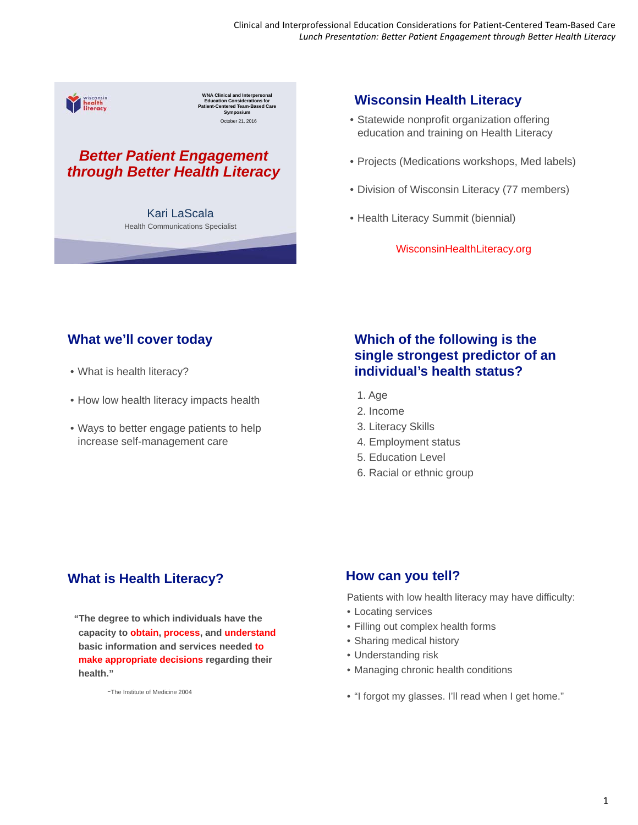

October 21, 2016 **WNA Clinical and Interpersonal Education Considerations for Patient-Centered Team-Based Care Symposium**

# *Better Patient Engagement through Better Health Literacy*

Kari LaScala Health Communications Specialist

# **Wisconsin Health Literacy**

- Statewide nonprofit organization offering education and training on Health Literacy
- Projects (Medications workshops, Med labels)
- Division of Wisconsin Literacy (77 members)
- Health Literacy Summit (biennial)

WisconsinHealthLiteracy.org

# **What we'll cover today**

- What is health literacy?
- How low health literacy impacts health
- Ways to better engage patients to help increase self-management care

# **Which of the following is the single strongest predictor of an individual's health status?**

- 1. Age
- 2. Income
- 3. Literacy Skills
- 4. Employment status
- 5. Education Level
- 6. Racial or ethnic group

# **What is Health Literacy?**

**"The degree to which individuals have the capacity to obtain, process, and understand basic information and services needed to make appropriate decisions regarding their health."**

-The Institute of Medicine 2004

## **How can you tell?**

Patients with low health literacy may have difficulty:

- Locating services
- Filling out complex health forms
- Sharing medical history
- Understanding risk
- Managing chronic health conditions
- "I forgot my glasses. I'll read when I get home."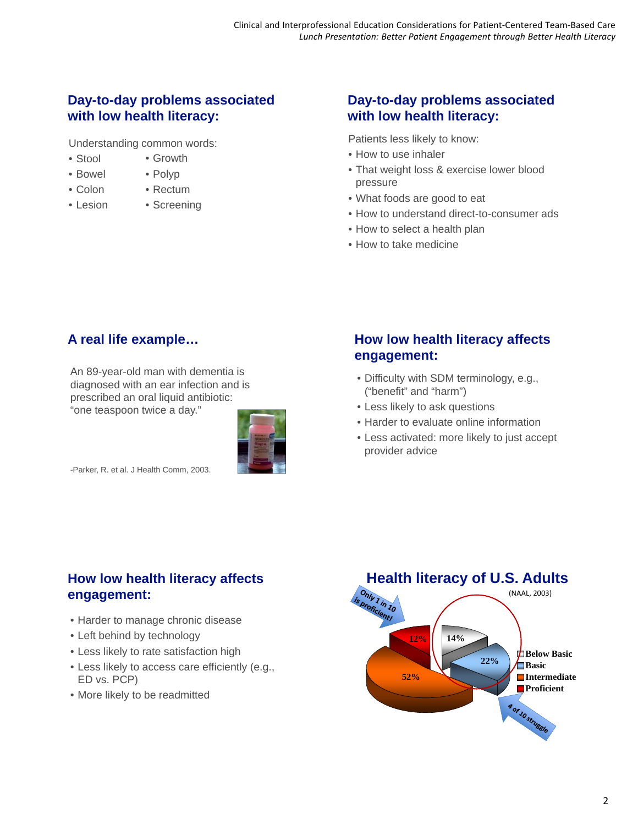# **Day-to-day problems associated with low health literacy:**

• Growth

Understanding common words:

• Stool • Bowel

• Colon

- Polyp
- Rectum
- Lesion
- 
- Screening

# **Day-to-day problems associated with low health literacy:**

Patients less likely to know:

- How to use inhaler
- That weight loss & exercise lower blood pressure
- What foods are good to eat
- How to understand direct-to-consumer ads
- How to select a health plan
- How to take medicine

# **A real life example…**

An 89-year-old man with dementia is diagnosed with an ear infection and is prescribed an oral liquid antibiotic: "one teaspoon twice a day."



-Parker, R. et al. J Health Comm, 2003.

# **How low health literacy affects engagement:**

- Difficulty with SDM terminology, e.g., ("benefit" and "harm")
- Less likely to ask questions
- Harder to evaluate online information
- Less activated: more likely to just accept provider advice

# **How low health literacy affects engagement:**

- Harder to manage chronic disease
- Left behind by technology
- Less likely to rate satisfaction high
- Less likely to access care efficiently (e.g., ED vs. PCP)
- More likely to be readmitted

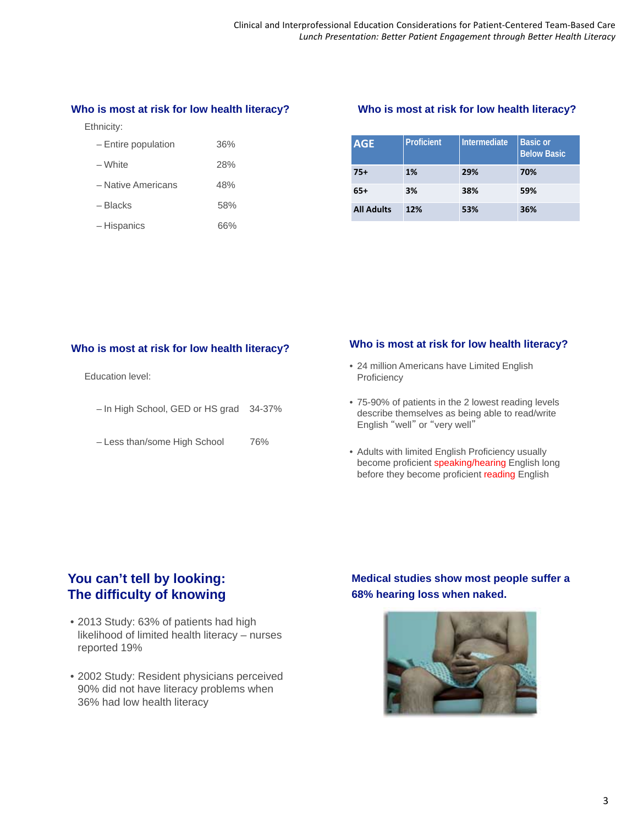#### **Who is most at risk for low health literacy?**

Ethnicity:

| - Entire population | 36% |
|---------------------|-----|
| – White             | 28% |
| - Native Americans  | 48% |
| – Blacks            | 58% |
| – Hispanics         | 66% |

#### **Who is most at risk for low health literacy?**

| <b>AGE</b>        | <b>Proficient</b> | Intermediate | <b>Basic or</b><br><b>Below Basic</b> |
|-------------------|-------------------|--------------|---------------------------------------|
| $75+$             | 1%                | 29%          | 70%                                   |
| 65+               | 3%                | 38%          | 59%                                   |
| <b>All Adults</b> | 12%               | 53%          | 36%                                   |

Education level:

- In High School, GED or HS grad 34-37%
- Less than/some High School 76%

## **Who is most at risk for low health literacy? Who is most at risk for low health literacy?**

- 24 million Americans have Limited English Proficiency
- 75-90% of patients in the 2 lowest reading levels describe themselves as being able to read/write English "well" or "very well"
- Adults with limited English Proficiency usually become proficient speaking/hearing English long before they become proficient reading English

## **You can't tell by looking: The difficulty of knowing**

- 2013 Study: 63% of patients had high likelihood of limited health literacy – nurses reported 19%
- 2002 Study: Resident physicians perceived 90% did not have literacy problems when 36% had low health literacy

**Medical studies show most people suffer a 68% hearing loss when naked.**

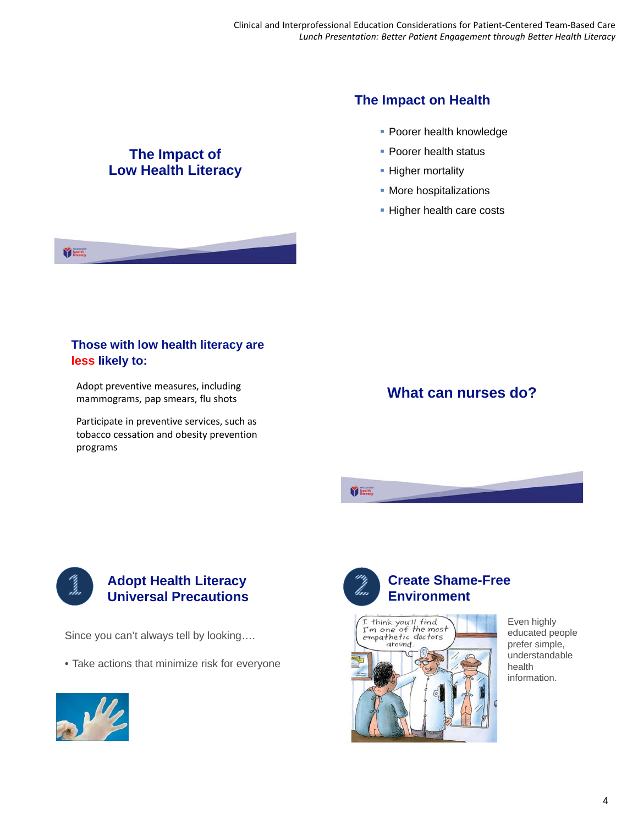# **The Impact of Low Health Literacy**



- **Poorer health knowledge**
- **Poorer health status**
- **Higher mortality**
- **More hospitalizations**
- **Higher health care costs**

#### **Those with low health literacy are less likely to:**

Adopt preventive measures, including mammograms, pap smears, flu shots

Participate in preventive services, such as tobacco cessation and obesity prevention programs

# **What can nurses do?**



VE.

## **Adopt Health Literacy Universal Precautions**

Since you can't always tell by looking….

• Take actions that minimize risk for everyone





V limits



Even highly educated people prefer simple, understandable health information.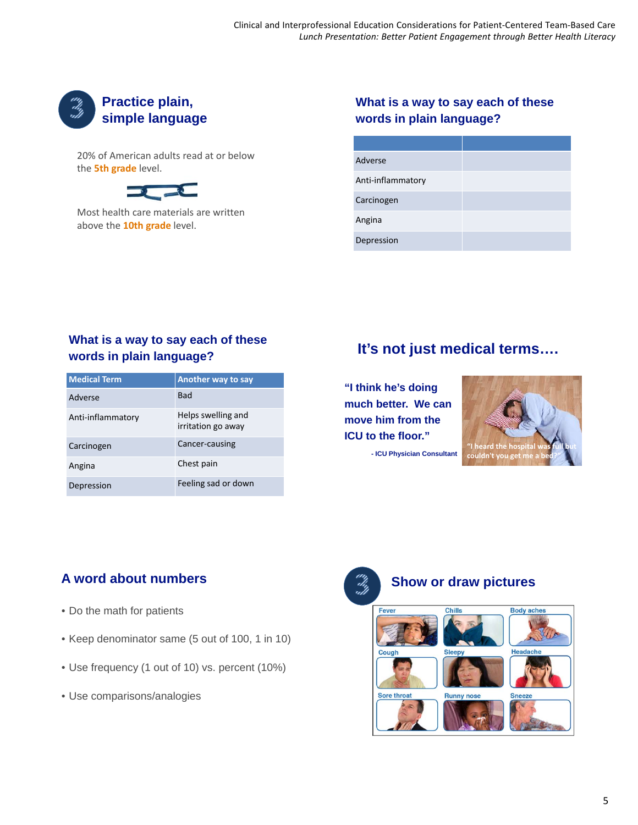

20% of American adults read at or below the **5th grade** level.



Most health care materials are written above the **10th grade** level.

#### **What is a way to say each of these words in plain language?**

| Adverse           |  |
|-------------------|--|
| Anti-inflammatory |  |
| Carcinogen        |  |
| Angina            |  |
| Depression        |  |

#### **What is a way to say each of these words in plain language?**

| <b>Medical Term</b> | <b>Another way to say</b>                |
|---------------------|------------------------------------------|
| Adverse             | <b>Bad</b>                               |
| Anti-inflammatory   | Helps swelling and<br>irritation go away |
| Carcinogen          | Cancer-causing                           |
| Angina              | Chest pain                               |
| Depression          | Feeling sad or down                      |

# **It's not just medical terms….**

**"I think he's doing much better. We can move him from the ICU to the floor."**

**- ICU Physician Consultant**



# **A word about numbers**

- Do the math for patients
- Keep denominator same (5 out of 100, 1 in 10)
- Use frequency (1 out of 10) vs. percent (10%)
- Use comparisons/analogies



# **Show or draw pictures**